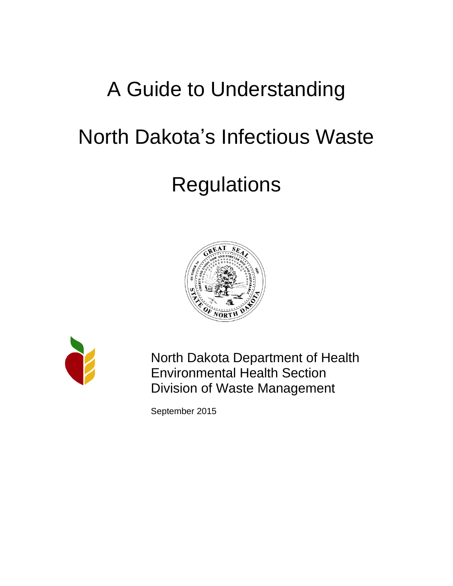# A Guide to Understanding

## North Dakota's Infectious Waste

## **Regulations**





North Dakota Department of Health Environmental Health Section Division of Waste Management

September 2015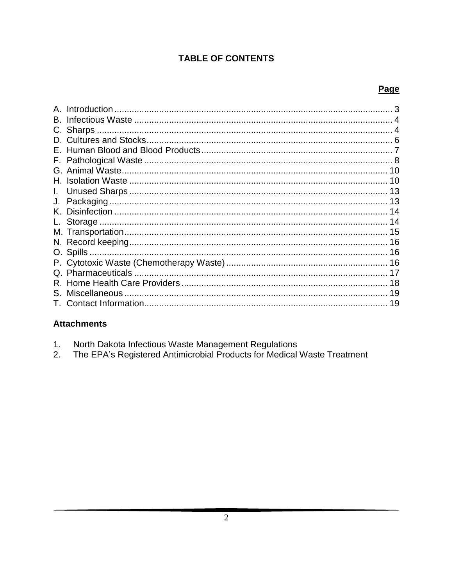## **TABLE OF CONTENTS**

## Page

|    | Introduction |    |
|----|--------------|----|
| B. |              |    |
|    |              |    |
|    |              |    |
|    |              |    |
|    |              |    |
|    |              |    |
|    |              |    |
|    |              |    |
|    |              |    |
| K. |              |    |
|    |              |    |
|    |              |    |
|    |              |    |
|    |              |    |
|    |              |    |
|    |              |    |
| R. |              |    |
| S. |              |    |
|    |              | 19 |

## **Attachments**

| North Dakota Infectious Waste Management Regulations |  |  |
|------------------------------------------------------|--|--|
|                                                      |  |  |

The EPA's Registered Antimicrobial Products for Medical Waste Treatment  $2.$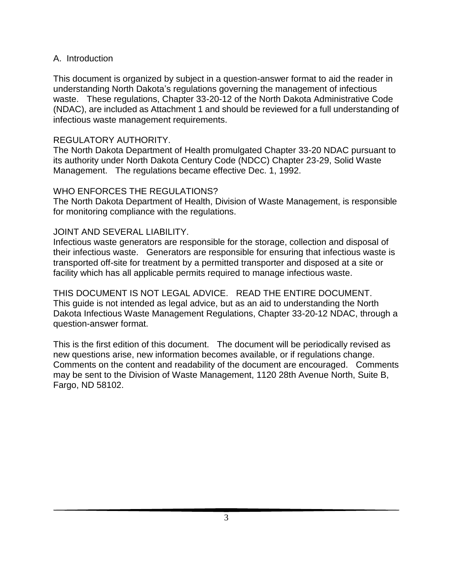#### A. Introduction

This document is organized by subject in a question-answer format to aid the reader in understanding North Dakota's regulations governing the management of infectious waste. These regulations, Chapter 33-20-12 of the North Dakota Administrative Code (NDAC), are included as Attachment 1 and should be reviewed for a full understanding of infectious waste management requirements.

#### REGULATORY AUTHORITY.

The North Dakota Department of Health promulgated Chapter 33-20 NDAC pursuant to its authority under North Dakota Century Code (NDCC) Chapter 23-29, Solid Waste Management. The regulations became effective Dec. 1, 1992.

#### WHO ENFORCES THE REGULATIONS?

The North Dakota Department of Health, Division of Waste Management, is responsible for monitoring compliance with the regulations.

#### JOINT AND SEVERAL LIABILITY.

Infectious waste generators are responsible for the storage, collection and disposal of their infectious waste. Generators are responsible for ensuring that infectious waste is transported off-site for treatment by a permitted transporter and disposed at a site or facility which has all applicable permits required to manage infectious waste.

THIS DOCUMENT IS NOT LEGAL ADVICE. READ THE ENTIRE DOCUMENT. This guide is not intended as legal advice, but as an aid to understanding the North Dakota Infectious Waste Management Regulations, Chapter 33-20-12 NDAC, through a question-answer format.

This is the first edition of this document. The document will be periodically revised as new questions arise, new information becomes available, or if regulations change. Comments on the content and readability of the document are encouraged. Comments may be sent to the Division of Waste Management, 1120 28th Avenue North, Suite B, Fargo, ND 58102.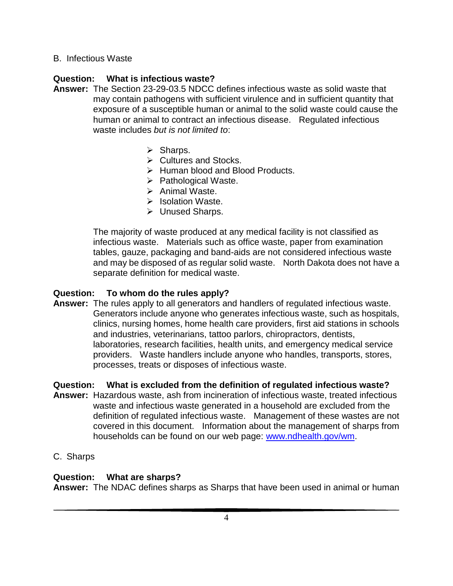## B. Infectious Waste

## **Question: What is infectious waste?**

- **Answer:** The Section 23-29-03.5 NDCC defines infectious waste as solid waste that may contain pathogens with sufficient virulence and in sufficient quantity that exposure of a susceptible human or animal to the solid waste could cause the human or animal to contract an infectious disease. Regulated infectious waste includes *but is not limited to*:
	- $\triangleright$  Sharps.
	- $\triangleright$  Cultures and Stocks.
	- $\triangleright$  Human blood and Blood Products.
	- $\triangleright$  Pathological Waste.
	- $\triangleright$  Animal Waste.
	- $\triangleright$  Isolation Waste.
	- Unused Sharps.

The majority of waste produced at any medical facility is not classified as infectious waste. Materials such as office waste, paper from examination tables, gauze, packaging and band-aids are not considered infectious waste and may be disposed of as regular solid waste. North Dakota does not have a separate definition for medical waste.

#### **Question: To whom do the rules apply?**

**Answer:** The rules apply to all generators and handlers of regulated infectious waste. Generators include anyone who generates infectious waste, such as hospitals, clinics, nursing homes, home health care providers, first aid stations in schools and industries, veterinarians, tattoo parlors, chiropractors, dentists, laboratories, research facilities, health units, and emergency medical service providers. Waste handlers include anyone who handles, transports, stores, processes, treats or disposes of infectious waste.

#### **Question: What is excluded from the definition of regulated infectious waste?**

- **Answer:** Hazardous waste, ash from incineration of infectious waste, treated infectious waste and infectious waste generated in a household are excluded from the definition of regulated infectious waste. Management of these wastes are not covered in this document. Information about the management of sharps from households can be found on our web page: www.ndhealth.gov/wm.
- C. Sharps

#### **Question: What are sharps?**

**Answer:** The NDAC defines sharps as Sharps that have been used in animal or human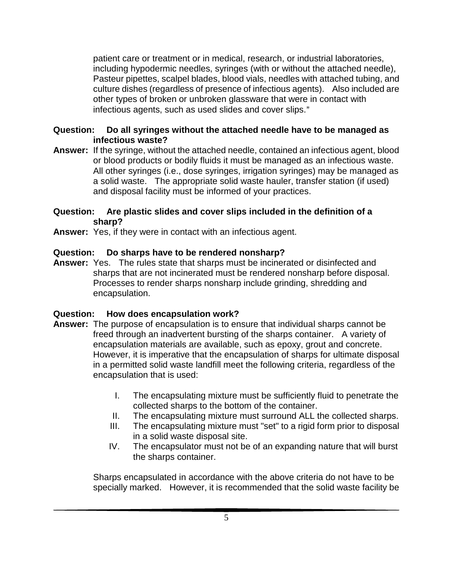patient care or treatment or in medical, research, or industrial laboratories, including hypodermic needles, syringes (with or without the attached needle), Pasteur pipettes, scalpel blades, blood vials, needles with attached tubing, and culture dishes (regardless of presence of infectious agents). Also included are other types of broken or unbroken glassware that were in contact with infectious agents, such as used slides and cover slips."

#### **Question: Do all syringes without the attached needle have to be managed as infectious waste?**

**Answer:** If the syringe, without the attached needle, contained an infectious agent, blood or blood products or bodily fluids it must be managed as an infectious waste. All other syringes (i.e., dose syringes, irrigation syringes) may be managed as a solid waste. The appropriate solid waste hauler, transfer station (if used) and disposal facility must be informed of your practices.

#### **Question: Are plastic slides and cover slips included in the definition of a sharp?**

**Answer:** Yes, if they were in contact with an infectious agent.

## **Question: Do sharps have to be rendered nonsharp?**

**Answer:** Yes. The rules state that sharps must be incinerated or disinfected and sharps that are not incinerated must be rendered nonsharp before disposal. Processes to render sharps nonsharp include grinding, shredding and encapsulation.

## **Question: How does encapsulation work?**

- **Answer:** The purpose of encapsulation is to ensure that individual sharps cannot be freed through an inadvertent bursting of the sharps container. A variety of encapsulation materials are available, such as epoxy, grout and concrete. However, it is imperative that the encapsulation of sharps for ultimate disposal in a permitted solid waste landfill meet the following criteria, regardless of the encapsulation that is used:
	- I. The encapsulating mixture must be sufficiently fluid to penetrate the collected sharps to the bottom of the container.
	- II. The encapsulating mixture must surround ALL the collected sharps.
	- III. The encapsulating mixture must "set" to a rigid form prior to disposal in a solid waste disposal site.
	- IV. The encapsulator must not be of an expanding nature that will burst the sharps container.

Sharps encapsulated in accordance with the above criteria do not have to be specially marked. However, it is recommended that the solid waste facility be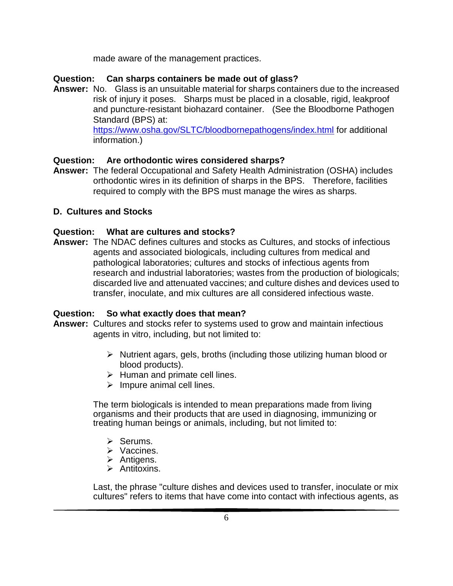made aware of the management practices.

## **Question: Can sharps containers be made out of glass?**

**Answer:** No. Glass is an unsuitable material for sharps containers due to the increased risk of injury it poses. Sharps must be placed in a closable, rigid, leakproof and puncture-resistant biohazard container. (See the Bloodborne Pathogen Standard (BPS) at:

<https://www.osha.gov/SLTC/bloodbornepathogens/index.html> for additional information.)

#### **Question: Are orthodontic wires considered sharps?**

**Answer:** The federal Occupational and Safety Health Administration (OSHA) includes orthodontic wires in its definition of sharps in the BPS. Therefore, facilities required to comply with the BPS must manage the wires as sharps.

## **D. Cultures and Stocks**

#### **Question: What are cultures and stocks?**

**Answer:** The NDAC defines cultures and stocks as Cultures, and stocks of infectious agents and associated biologicals, including cultures from medical and pathological laboratories; cultures and stocks of infectious agents from research and industrial laboratories; wastes from the production of biologicals; discarded live and attenuated vaccines; and culture dishes and devices used to transfer, inoculate, and mix cultures are all considered infectious waste.

#### **Question: So what exactly does that mean?**

- **Answer:** Cultures and stocks refer to systems used to grow and maintain infectious agents in vitro, including, but not limited to:
	- $\triangleright$  Nutrient agars, gels, broths (including those utilizing human blood or blood products).
	- $\triangleright$  Human and primate cell lines.
	- $\triangleright$  Impure animal cell lines.

The term biologicals is intended to mean preparations made from living organisms and their products that are used in diagnosing, immunizing or treating human beings or animals, including, but not limited to:

- $\triangleright$  Serums.
- **▶** Vaccines.
- $\triangleright$  Antigens.
- $\triangleright$  Antitoxins.

Last, the phrase "culture dishes and devices used to transfer, inoculate or mix cultures" refers to items that have come into contact with infectious agents, as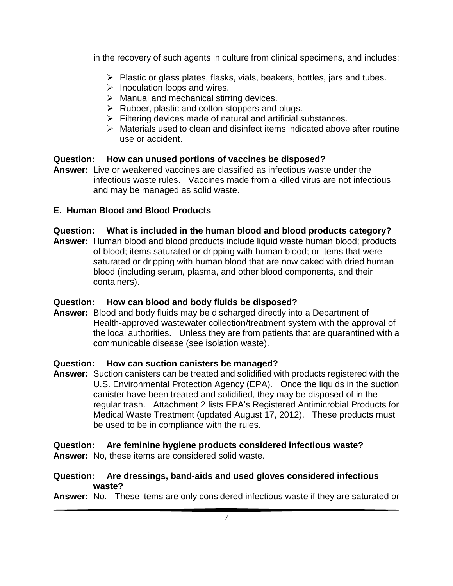in the recovery of such agents in culture from clinical specimens, and includes:

- $\triangleright$  Plastic or glass plates, flasks, vials, beakers, bottles, jars and tubes.
- $\triangleright$  Inoculation loops and wires.
- $\triangleright$  Manual and mechanical stirring devices.
- $\triangleright$  Rubber, plastic and cotton stoppers and plugs.
- $\triangleright$  Filtering devices made of natural and artificial substances.
- $\triangleright$  Materials used to clean and disinfect items indicated above after routine use or accident.

## **Question: How can unused portions of vaccines be disposed?**

**Answer:** Live or weakened vaccines are classified as infectious waste under the infectious waste rules. Vaccines made from a killed virus are not infectious and may be managed as solid waste.

## **E. Human Blood and Blood Products**

## **Question: What is included in the human blood and blood products category?**

**Answer:** Human blood and blood products include liquid waste human blood; products of blood; items saturated or dripping with human blood; or items that were saturated or dripping with human blood that are now caked with dried human blood (including serum, plasma, and other blood components, and their containers).

#### **Question: How can blood and body fluids be disposed?**

**Answer:** Blood and body fluids may be discharged directly into a Department of Health-approved wastewater collection/treatment system with the approval of the local authorities. Unless they are from patients that are quarantined with a communicable disease (see isolation waste).

#### **Question: How can suction canisters be managed?**

**Answer:** Suction canisters can be treated and solidified with products registered with the U.S. Environmental Protection Agency (EPA). Once the liquids in the suction canister have been treated and solidified, they may be disposed of in the regular trash. Attachment 2 lists EPA's Registered Antimicrobial Products for Medical Waste Treatment (updated August 17, 2012). These products must be used to be in compliance with the rules.

## **Question: Are feminine hygiene products considered infectious waste?**

**Answer:** No, these items are considered solid waste.

#### **Question: Are dressings, band-aids and used gloves considered infectious waste?**

**Answer:** No. These items are only considered infectious waste if they are saturated or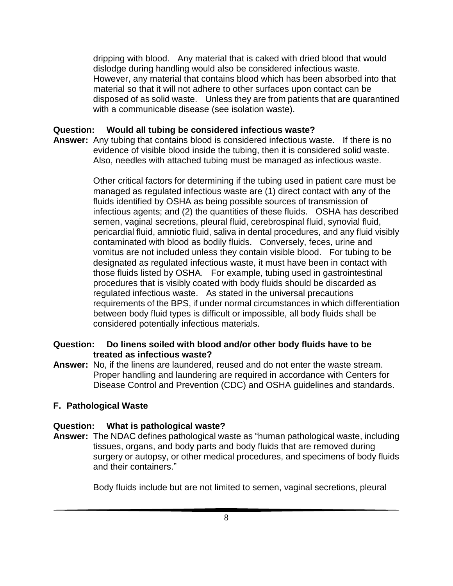dripping with blood. Any material that is caked with dried blood that would dislodge during handling would also be considered infectious waste. However, any material that contains blood which has been absorbed into that material so that it will not adhere to other surfaces upon contact can be disposed of as solid waste. Unless they are from patients that are quarantined with a communicable disease (see isolation waste).

#### **Question: Would all tubing be considered infectious waste?**

**Answer:** Any tubing that contains blood is considered infectious waste. If there is no evidence of visible blood inside the tubing, then it is considered solid waste. Also, needles with attached tubing must be managed as infectious waste.

> Other critical factors for determining if the tubing used in patient care must be managed as regulated infectious waste are (1) direct contact with any of the fluids identified by OSHA as being possible sources of transmission of infectious agents; and (2) the quantities of these fluids. OSHA has described semen, vaginal secretions, pleural fluid, cerebrospinal fluid, synovial fluid, pericardial fluid, amniotic fluid, saliva in dental procedures, and any fluid visibly contaminated with blood as bodily fluids. Conversely, feces, urine and vomitus are not included unless they contain visible blood. For tubing to be designated as regulated infectious waste, it must have been in contact with those fluids listed by OSHA. For example, tubing used in gastrointestinal procedures that is visibly coated with body fluids should be discarded as regulated infectious waste. As stated in the universal precautions requirements of the BPS, if under normal circumstances in which differentiation between body fluid types is difficult or impossible, all body fluids shall be considered potentially infectious materials.

#### **Question: Do linens soiled with blood and/or other body fluids have to be treated as infectious waste?**

**Answer:** No, if the linens are laundered, reused and do not enter the waste stream. Proper handling and laundering are required in accordance with Centers for Disease Control and Prevention (CDC) and OSHA guidelines and standards.

#### **F. Pathological Waste**

#### **Question: What is pathological waste?**

**Answer:** The NDAC defines pathological waste as "human pathological waste, including tissues, organs, and body parts and body fluids that are removed during surgery or autopsy, or other medical procedures, and specimens of body fluids and their containers."

Body fluids include but are not limited to semen, vaginal secretions, pleural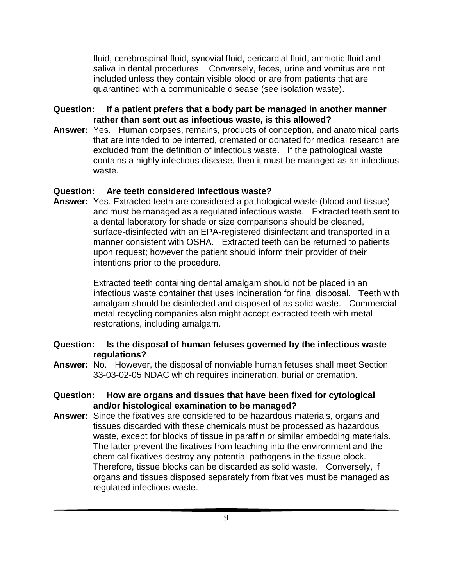fluid, cerebrospinal fluid, synovial fluid, pericardial fluid, amniotic fluid and saliva in dental procedures. Conversely, feces, urine and vomitus are not included unless they contain visible blood or are from patients that are quarantined with a communicable disease (see isolation waste).

#### **Question: If a patient prefers that a body part be managed in another manner rather than sent out as infectious waste, is this allowed?**

**Answer:** Yes. Human corpses, remains, products of conception, and anatomical parts that are intended to be interred, cremated or donated for medical research are excluded from the definition of infectious waste. If the pathological waste contains a highly infectious disease, then it must be managed as an infectious waste.

### **Question: Are teeth considered infectious waste?**

**Answer:** Yes. Extracted teeth are considered a pathological waste (blood and tissue) and must be managed as a regulated infectious waste. Extracted teeth sent to a dental laboratory for shade or size comparisons should be cleaned, surface-disinfected with an EPA-registered disinfectant and transported in a manner consistent with OSHA. Extracted teeth can be returned to patients upon request; however the patient should inform their provider of their intentions prior to the procedure.

> Extracted teeth containing dental amalgam should not be placed in an infectious waste container that uses incineration for final disposal. Teeth with amalgam should be disinfected and disposed of as solid waste. Commercial metal recycling companies also might accept extracted teeth with metal restorations, including amalgam.

#### **Question: Is the disposal of human fetuses governed by the infectious waste regulations?**

**Answer:** No. However, the disposal of nonviable human fetuses shall meet Section 33-03-02-05 NDAC which requires incineration, burial or cremation.

#### **Question: How are organs and tissues that have been fixed for cytological and/or histological examination to be managed?**

**Answer:** Since the fixatives are considered to be hazardous materials, organs and tissues discarded with these chemicals must be processed as hazardous waste, except for blocks of tissue in paraffin or similar embedding materials. The latter prevent the fixatives from leaching into the environment and the chemical fixatives destroy any potential pathogens in the tissue block. Therefore, tissue blocks can be discarded as solid waste. Conversely, if organs and tissues disposed separately from fixatives must be managed as regulated infectious waste.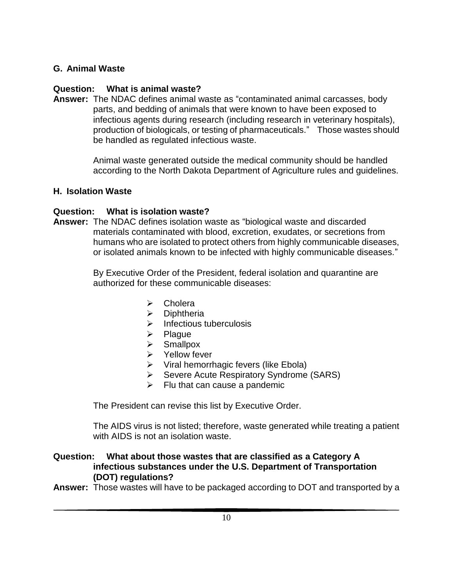## **G. Animal Waste**

## **Question: What is animal waste?**

**Answer:** The NDAC defines animal waste as "contaminated animal carcasses, body parts, and bedding of animals that were known to have been exposed to infectious agents during research (including research in veterinary hospitals), production of biologicals, or testing of pharmaceuticals." Those wastes should be handled as regulated infectious waste.

> Animal waste generated outside the medical community should be handled according to the North Dakota Department of Agriculture rules and guidelines.

#### **H. Isolation Waste**

## **Question: What is isolation waste?**

**Answer:** The NDAC defines isolation waste as "biological waste and discarded materials contaminated with blood, excretion, exudates, or secretions from humans who are isolated to protect others from highly communicable diseases, or isolated animals known to be infected with highly communicable diseases."

> By Executive Order of the President, federal isolation and quarantine are authorized for these communicable diseases:

- $\triangleright$  Cholera
- $\triangleright$  Diphtheria
- $\triangleright$  Infectious tuberculosis
- $\triangleright$  Plague
- $\triangleright$  Smallpox
- $\triangleright$  Yellow fever
- $\triangleright$  Viral hemorrhagic fevers (like Ebola)
- **►** Severe Acute Respiratory Syndrome (SARS)
- $\triangleright$  Flu that can cause a pandemic

The President can revise this list by Executive Order.

The AIDS virus is not listed; therefore, waste generated while treating a patient with AIDS is not an isolation waste.

#### **Question: What about those wastes that are classified as a Category A infectious substances under the U.S. Department of Transportation (DOT) regulations?**

**Answer:** Those wastes will have to be packaged according to DOT and transported by a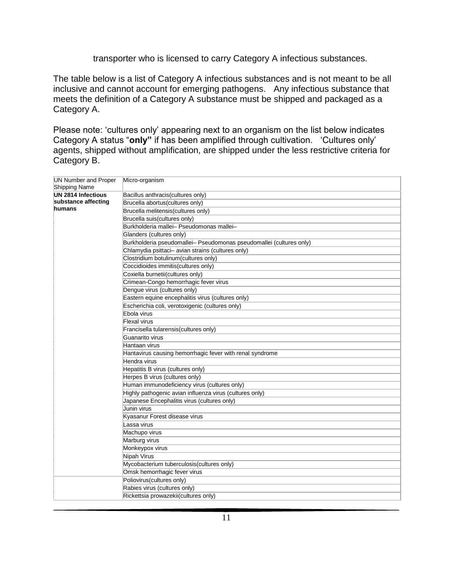#### transporter who is licensed to carry Category A infectious substances.

The table below is a list of Category A infectious substances and is not meant to be all inclusive and cannot account for emerging pathogens. Any infectious substance that meets the definition of a Category A substance must be shipped and packaged as a Category A.

Please note: 'cultures only' appearing next to an organism on the list below indicates Category A status "**only"** if has been amplified through cultivation. 'Cultures only' agents, shipped without amplification, are shipped under the less restrictive criteria for Category B.

| <b>UN Number and Proper</b> | Micro-organism                                                      |
|-----------------------------|---------------------------------------------------------------------|
| Shipping Name               |                                                                     |
| UN 2814 Infectious          | Bacillus anthracis(cultures only)                                   |
| substance affecting         | Brucella abortus(cultures only)                                     |
| humans                      | Brucella melitensis(cultures only)                                  |
|                             | Brucella suis(cultures only)                                        |
|                             | Burkholderia mallei- Pseudomonas mallei-                            |
|                             | Glanders (cultures only)                                            |
|                             | Burkholderia pseudomallei- Pseudomonas pseudomallei (cultures only) |
|                             | Chlamydia psittaci- avian strains (cultures only)                   |
|                             | Clostridium botulinum (cultures only)                               |
|                             | Coccidioides immitis(cultures only)                                 |
|                             | Coxiella burnetii(cultures only)                                    |
|                             | Crimean-Congo hemorrhagic fever virus                               |
|                             | Dengue virus (cultures only)                                        |
|                             | Eastern equine encephalitis virus (cultures only)                   |
|                             | Escherichia coli, verotoxigenic (cultures only)                     |
|                             | Ebola virus                                                         |
|                             | Flexal virus                                                        |
|                             | Francisella tularensis(cultures only)                               |
|                             | Guanarito virus                                                     |
|                             | Hantaan virus                                                       |
|                             | Hantavirus causing hemorrhagic fever with renal syndrome            |
|                             | Hendra virus                                                        |
|                             | Hepatitis B virus (cultures only)                                   |
|                             | Herpes B virus (cultures only)                                      |
|                             | Human immunodeficiency virus (cultures only)                        |
|                             | Highly pathogenic avian influenza virus (cultures only)             |
|                             | Japanese Encephalitis virus (cultures only)                         |
|                             | Junin virus                                                         |
|                             | Kyasanur Forest disease virus                                       |
|                             | Lassa virus                                                         |
|                             | Machupo virus                                                       |
|                             | Marburg virus                                                       |
|                             | Monkeypox virus                                                     |
|                             | Nipah Virus                                                         |
|                             | Mycobacterium tuberculosis (cultures only)                          |
|                             | Omsk hemorrhagic fever virus                                        |
|                             | Poliovirus(cultures only)                                           |
|                             | Rabies virus (cultures only)                                        |
|                             | Rickettsia prowazekii(cultures only)                                |
|                             |                                                                     |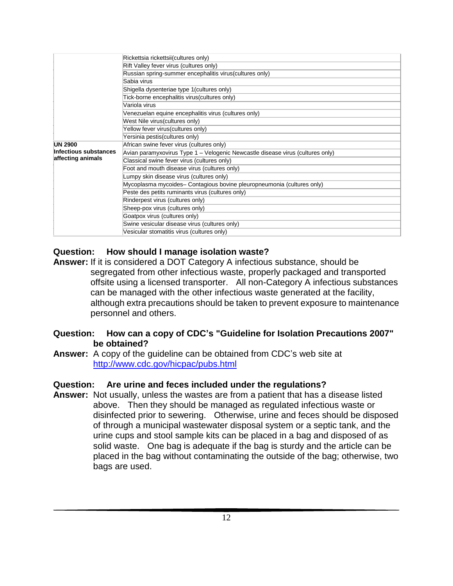|                       | Rickettsia rickettsii(cultures only)                                           |  |  |  |  |
|-----------------------|--------------------------------------------------------------------------------|--|--|--|--|
|                       | Rift Valley fever virus (cultures only)                                        |  |  |  |  |
|                       | Russian spring-summer encephalitis virus (cultures only)                       |  |  |  |  |
|                       | Sabia virus                                                                    |  |  |  |  |
|                       | Shigella dysenteriae type 1 (cultures only)                                    |  |  |  |  |
|                       | Tick-borne encephalitis virus (cultures only)                                  |  |  |  |  |
|                       | Variola virus                                                                  |  |  |  |  |
|                       | Venezuelan equine encephalitis virus (cultures only)                           |  |  |  |  |
|                       | West Nile virus (cultures only)                                                |  |  |  |  |
|                       | Yellow fever virus(cultures only)                                              |  |  |  |  |
|                       | Yersinia pestis(cultures only)                                                 |  |  |  |  |
| <b>UN 2900</b>        | African swine fever virus (cultures only)                                      |  |  |  |  |
| Infectious substances | Avian paramyxovirus Type 1 – Velogenic Newcastle disease virus (cultures only) |  |  |  |  |
| affecting animals     | Classical swine fever virus (cultures only)                                    |  |  |  |  |
|                       | Foot and mouth disease virus (cultures only)                                   |  |  |  |  |
|                       | Lumpy skin disease virus (cultures only)                                       |  |  |  |  |
|                       | Mycoplasma mycoides- Contagious bovine pleuropneumonia (cultures only)         |  |  |  |  |
|                       | Peste des petits ruminants virus (cultures only)                               |  |  |  |  |
|                       | Rinderpest virus (cultures only)                                               |  |  |  |  |
|                       | Sheep-pox virus (cultures only)                                                |  |  |  |  |
|                       | Goatpox virus (cultures only)                                                  |  |  |  |  |
|                       | Swine vesicular disease virus (cultures only)                                  |  |  |  |  |
|                       | Vesicular stomatitis virus (cultures only)                                     |  |  |  |  |

## **Question: How should I manage isolation waste?**

**Answer:** If it is considered a DOT Category A infectious substance, should be segregated from other infectious waste, properly packaged and transported offsite using a licensed transporter. All non-Category A infectious substances can be managed with the other infectious waste generated at the facility, although extra precautions should be taken to prevent exposure to maintenance personnel and others.

## **Question: How can a copy of CDC's "Guideline for Isolation Precautions 2007" be obtained?**

**Answer:** A copy of the guideline can be obtained from CDC's web site at <http://www.cdc.gov/hicpac/pubs.html>

## **Question: Are urine and feces included under the regulations?**

**Answer:** Not usually, unless the wastes are from a patient that has a disease listed above. Then they should be managed as regulated infectious waste or disinfected prior to sewering. Otherwise, urine and feces should be disposed of through a municipal wastewater disposal system or a septic tank, and the urine cups and stool sample kits can be placed in a bag and disposed of as solid waste. One bag is adequate if the bag is sturdy and the article can be placed in the bag without contaminating the outside of the bag; otherwise, two bags are used.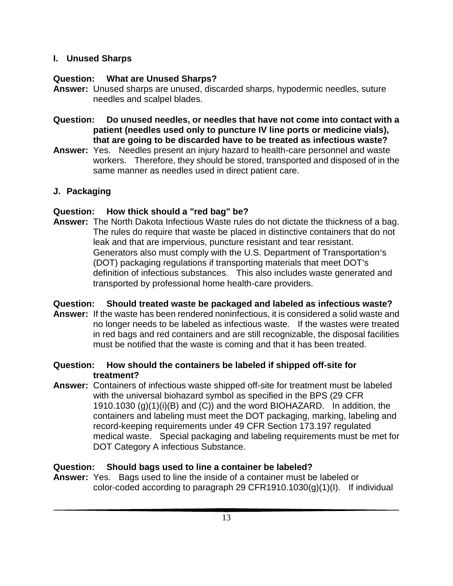## **I. Unused Sharps**

## **Question: What are Unused Sharps?**

- **Answer:** Unused sharps are unused, discarded sharps, hypodermic needles, suture needles and scalpel blades.
- **Question: Do unused needles, or needles that have not come into contact with a patient (needles used only to puncture IV line ports or medicine vials), that are going to be discarded have to be treated as infectious waste?**
- **Answer:** Yes. Needles present an injury hazard to health-care personnel and waste workers. Therefore, they should be stored, transported and disposed of in the same manner as needles used in direct patient care.

## **J. Packaging**

## **Question: How thick should a "red bag" be?**

**Answer:** The North Dakota Infectious Waste rules do not dictate the thickness of a bag. The rules do require that waste be placed in distinctive containers that do not leak and that are impervious, puncture resistant and tear resistant. Generators also must comply with the U.S. Department of Transportation's (DOT) packaging regulations if transporting materials that meet DOT's definition of infectious substances. This also includes waste generated and transported by professional home health-care providers.

## **Question: Should treated waste be packaged and labeled as infectious waste?**

- **Answer:** If the waste has been rendered noninfectious, it is considered a solid waste and no longer needs to be labeled as infectious waste. If the wastes were treated in red bags and red containers and are still recognizable, the disposal facilities must be notified that the waste is coming and that it has been treated.
- **Question: How should the containers be labeled if shipped off-site for treatment?**
- **Answer:** Containers of infectious waste shipped off-site for treatment must be labeled with the universal biohazard symbol as specified in the BPS (29 CFR 1910.1030 (g)(1)(i)(B) and (C)) and the word BIOHAZARD. In addition, the containers and labeling must meet the DOT packaging, marking, labeling and record-keeping requirements under 49 CFR Section 173.197 regulated medical waste. Special packaging and labeling requirements must be met for DOT Category A infectious Substance.

## **Question: Should bags used to line a container be labeled?**

**Answer:** Yes. Bags used to line the inside of a container must be labeled or color-coded according to paragraph 29 CFR1910.1030 $(g)(1)(I)$ . If individual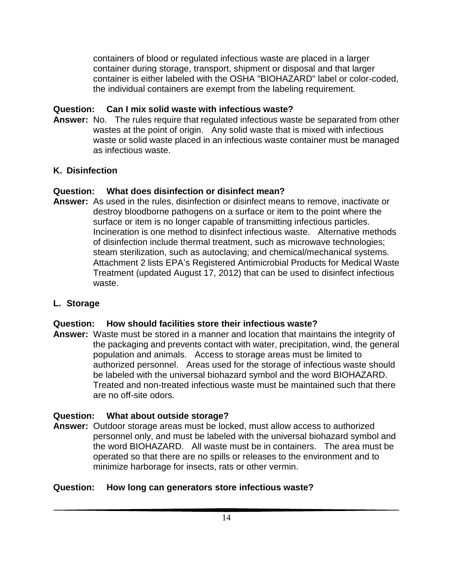containers of blood or regulated infectious waste are placed in a larger container during storage, transport, shipment or disposal and that larger container is either labeled with the OSHA "BIOHAZARD" label or color-coded, the individual containers are exempt from the labeling requirement.

## **Question: Can I mix solid waste with infectious waste?**

**Answer:** No. The rules require that regulated infectious waste be separated from other wastes at the point of origin. Any solid waste that is mixed with infectious waste or solid waste placed in an infectious waste container must be managed as infectious waste.

## **K. Disinfection**

## **Question: What does disinfection or disinfect mean?**

**Answer:** As used in the rules, disinfection or disinfect means to remove, inactivate or destroy bloodborne pathogens on a surface or item to the point where the surface or item is no longer capable of transmitting infectious particles. Incineration is one method to disinfect infectious waste. Alternative methods of disinfection include thermal treatment, such as microwave technologies; steam sterilization, such as autoclaving; and chemical/mechanical systems. Attachment 2 lists EPA's Registered Antimicrobial Products for Medical Waste Treatment (updated August 17, 2012) that can be used to disinfect infectious waste.

## **L. Storage**

#### **Question: How should facilities store their infectious waste?**

**Answer:** Waste must be stored in a manner and location that maintains the integrity of the packaging and prevents contact with water, precipitation, wind, the general population and animals. Access to storage areas must be limited to authorized personnel. Areas used for the storage of infectious waste should be labeled with the universal biohazard symbol and the word BIOHAZARD. Treated and non-treated infectious waste must be maintained such that there are no off-site odors.

#### **Question: What about outside storage?**

**Answer:** Outdoor storage areas must be locked, must allow access to authorized personnel only, and must be labeled with the universal biohazard symbol and the word BIOHAZARD. All waste must be in containers. The area must be operated so that there are no spills or releases to the environment and to minimize harborage for insects, rats or other vermin.

## **Question: How long can generators store infectious waste?**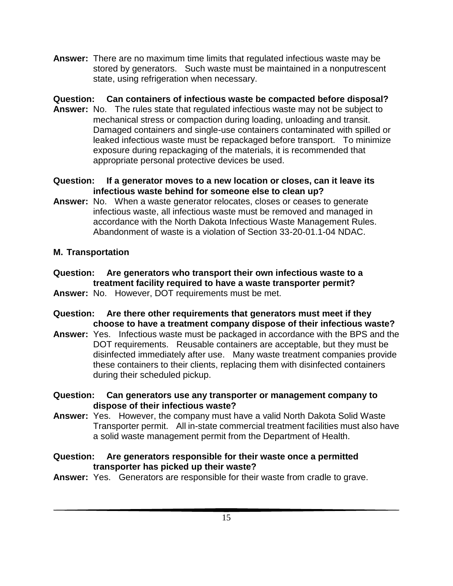**Answer:** There are no maximum time limits that regulated infectious waste may be stored by generators. Such waste must be maintained in a nonputrescent state, using refrigeration when necessary.

## **Question: Can containers of infectious waste be compacted before disposal?**

- **Answer:** No. The rules state that regulated infectious waste may not be subject to mechanical stress or compaction during loading, unloading and transit. Damaged containers and single-use containers contaminated with spilled or leaked infectious waste must be repackaged before transport. To minimize exposure during repackaging of the materials, it is recommended that appropriate personal protective devices be used.
- **Question: If a generator moves to a new location or closes, can it leave its infectious waste behind for someone else to clean up?**
- **Answer:** No. When a waste generator relocates, closes or ceases to generate infectious waste, all infectious waste must be removed and managed in accordance with the North Dakota Infectious Waste Management Rules. Abandonment of waste is a violation of Section 33-20-01.1-04 NDAC.

## **M. Transportation**

- **Question: Are generators who transport their own infectious waste to a treatment facility required to have a waste transporter permit? Answer:** No. However, DOT requirements must be met.
- **Question: Are there other requirements that generators must meet if they choose to have a treatment company dispose of their infectious waste?**
- **Answer:** Yes. Infectious waste must be packaged in accordance with the BPS and the DOT requirements. Reusable containers are acceptable, but they must be disinfected immediately after use. Many waste treatment companies provide these containers to their clients, replacing them with disinfected containers during their scheduled pickup.
- **Question: Can generators use any transporter or management company to dispose of their infectious waste?**
- **Answer:** Yes. However, the company must have a valid North Dakota Solid Waste Transporter permit. All in-state commercial treatment facilities must also have a solid waste management permit from the Department of Health.
- **Question: Are generators responsible for their waste once a permitted transporter has picked up their waste?**
- **Answer:** Yes. Generators are responsible for their waste from cradle to grave.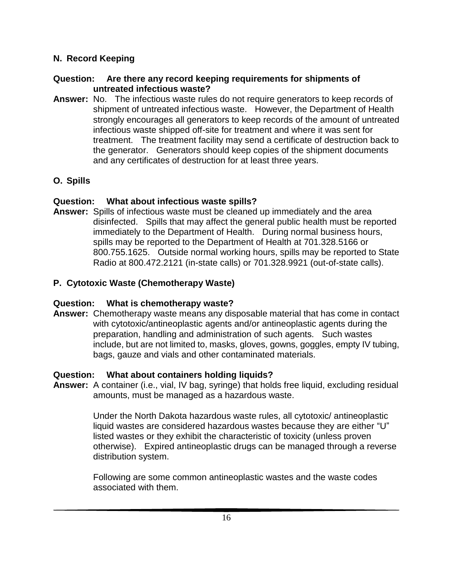## **N. Record Keeping**

## **Question: Are there any record keeping requirements for shipments of untreated infectious waste?**

**Answer:** No. The infectious waste rules do not require generators to keep records of shipment of untreated infectious waste. However, the Department of Health strongly encourages all generators to keep records of the amount of untreated infectious waste shipped off-site for treatment and where it was sent for treatment. The treatment facility may send a certificate of destruction back to the generator. Generators should keep copies of the shipment documents and any certificates of destruction for at least three years.

## **O. Spills**

## **Question: What about infectious waste spills?**

**Answer:** Spills of infectious waste must be cleaned up immediately and the area disinfected. Spills that may affect the general public health must be reported immediately to the Department of Health. During normal business hours, spills may be reported to the Department of Health at 701.328.5166 or 800.755.1625. Outside normal working hours, spills may be reported to State Radio at 800.472.2121 (in-state calls) or 701.328.9921 (out-of-state calls).

## **P. Cytotoxic Waste (Chemotherapy Waste)**

## **Question: What is chemotherapy waste?**

**Answer:** Chemotherapy waste means any disposable material that has come in contact with cytotoxic/antineoplastic agents and/or antineoplastic agents during the preparation, handling and administration of such agents. Such wastes include, but are not limited to, masks, gloves, gowns, goggles, empty IV tubing, bags, gauze and vials and other contaminated materials.

## **Question: What about containers holding liquids?**

**Answer:** A container (i.e., vial, IV bag, syringe) that holds free liquid, excluding residual amounts, must be managed as a hazardous waste.

> Under the North Dakota hazardous waste rules, all cytotoxic/ antineoplastic liquid wastes are considered hazardous wastes because they are either "U" listed wastes or they exhibit the characteristic of toxicity (unless proven otherwise). Expired antineoplastic drugs can be managed through a reverse distribution system.

Following are some common antineoplastic wastes and the waste codes associated with them.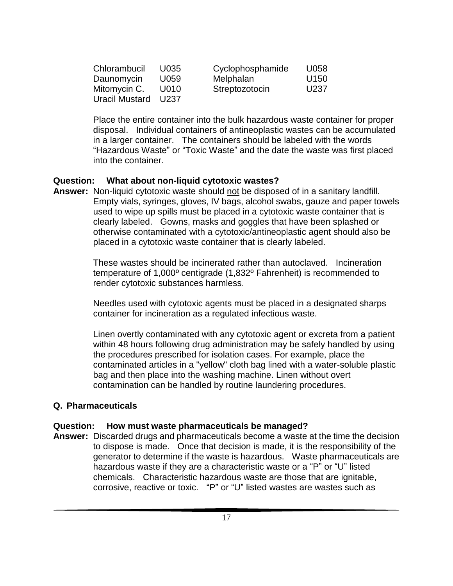| Chlorambucil   | U035 | Cyclophosphamide | U058             |
|----------------|------|------------------|------------------|
| Daunomycin     | U059 | Melphalan        | U <sub>150</sub> |
| Mitomycin C.   | U010 | Streptozotocin   | U237             |
| Uracil Mustard | U237 |                  |                  |

Place the entire container into the bulk hazardous waste container for proper disposal. Individual containers of antineoplastic wastes can be accumulated in a larger container. The containers should be labeled with the words "Hazardous Waste" or "Toxic Waste" and the date the waste was first placed into the container.

#### **Question: What about non-liquid cytotoxic wastes?**

**Answer:** Non-liquid cytotoxic waste should not be disposed of in a sanitary landfill. Empty vials, syringes, gloves, IV bags, alcohol swabs, gauze and paper towels used to wipe up spills must be placed in a cytotoxic waste container that is clearly labeled. Gowns, masks and goggles that have been splashed or otherwise contaminated with a cytotoxic/antineoplastic agent should also be placed in a cytotoxic waste container that is clearly labeled.

> These wastes should be incinerated rather than autoclaved. Incineration temperature of 1,000º centigrade (1,832º Fahrenheit) is recommended to render cytotoxic substances harmless.

Needles used with cytotoxic agents must be placed in a designated sharps container for incineration as a regulated infectious waste.

Linen overtly contaminated with any cytotoxic agent or excreta from a patient within 48 hours following drug administration may be safely handled by using the procedures prescribed for isolation cases. For example, place the contaminated articles in a "yellow" cloth bag lined with a water-soluble plastic bag and then place into the washing machine. Linen without overt contamination can be handled by routine laundering procedures.

#### **Q. Pharmaceuticals**

#### **Question: How must waste pharmaceuticals be managed?**

**Answer:** Discarded drugs and pharmaceuticals become a waste at the time the decision to dispose is made. Once that decision is made, it is the responsibility of the generator to determine if the waste is hazardous. Waste pharmaceuticals are hazardous waste if they are a characteristic waste or a "P" or "U" listed chemicals. Characteristic hazardous waste are those that are ignitable, corrosive, reactive or toxic. "P" or "U" listed wastes are wastes such as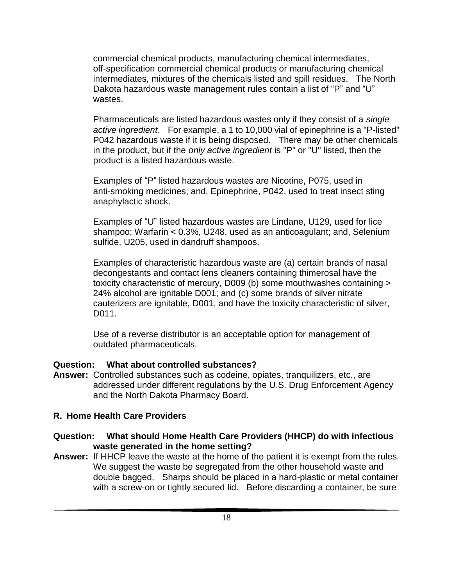commercial chemical products, manufacturing chemical intermediates, off-specification commercial chemical products or manufacturing chemical intermediates, mixtures of the chemicals listed and spill residues. The North Dakota hazardous waste management rules contain a list of "P" and "U" wastes.

Pharmaceuticals are listed hazardous wastes only if they consist of a *single active ingredient*. For example, a 1 to 10,000 vial of epinephrine is a "P-listed" P042 hazardous waste if it is being disposed. There may be other chemicals in the product, but if the *only active ingredient* is "P" or "U" listed, then the product is a listed hazardous waste.

Examples of "P" listed hazardous wastes are Nicotine, P075, used in anti-smoking medicines; and, Epinephrine, P042, used to treat insect sting anaphylactic shock.

Examples of "U" listed hazardous wastes are Lindane, U129, used for lice shampoo; Warfarin < 0.3%, U248, used as an anticoagulant; and, Selenium sulfide, U205, used in dandruff shampoos.

Examples of characteristic hazardous waste are (a) certain brands of nasal decongestants and contact lens cleaners containing thimerosal have the toxicity characteristic of mercury, D009 (b) some mouthwashes containing > 24% alcohol are ignitable D001; and (c) some brands of silver nitrate cauterizers are ignitable, D001, and have the toxicity characteristic of silver, D011.

Use of a reverse distributor is an acceptable option for management of outdated pharmaceuticals.

#### **Question: What about controlled substances?**

**Answer:** Controlled substances such as codeine, opiates, tranquilizers, etc., are addressed under different regulations by the U.S. Drug Enforcement Agency and the North Dakota Pharmacy Board.

#### **R. Home Health Care Providers**

## **Question: What should Home Health Care Providers (HHCP) do with infectious waste generated in the home setting?**

**Answer:** If HHCP leave the waste at the home of the patient it is exempt from the rules. We suggest the waste be segregated from the other household waste and double bagged. Sharps should be placed in a hard-plastic or metal container with a screw-on or tightly secured lid. Before discarding a container, be sure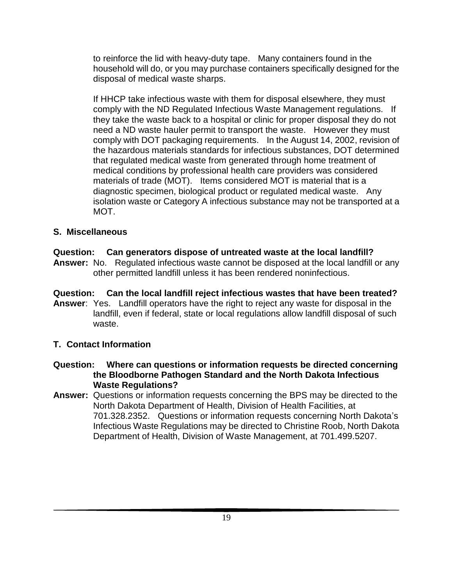to reinforce the lid with heavy-duty tape. Many containers found in the household will do, or you may purchase containers specifically designed for the disposal of medical waste sharps.

If HHCP take infectious waste with them for disposal elsewhere, they must comply with the ND Regulated Infectious Waste Management regulations. If they take the waste back to a hospital or clinic for proper disposal they do not need a ND waste hauler permit to transport the waste. However they must comply with DOT packaging requirements. In the August 14, 2002, revision of the hazardous materials standards for infectious substances, DOT determined that regulated medical waste from generated through home treatment of medical conditions by professional health care providers was considered materials of trade (MOT). Items considered MOT is material that is a diagnostic specimen, biological product or regulated medical waste. Any isolation waste or Category A infectious substance may not be transported at a MOT.

## **S. Miscellaneous**

## **Question: Can generators dispose of untreated waste at the local landfill?**

- **Answer:** No. Regulated infectious waste cannot be disposed at the local landfill or any other permitted landfill unless it has been rendered noninfectious.
- **Question: Can the local landfill reject infectious wastes that have been treated? Answer**: Yes. Landfill operators have the right to reject any waste for disposal in the landfill, even if federal, state or local regulations allow landfill disposal of such waste.

## **T. Contact Information**

- **Question: Where can questions or information requests be directed concerning the Bloodborne Pathogen Standard and the North Dakota Infectious Waste Regulations?**
- **Answer:** Questions or information requests concerning the BPS may be directed to the North Dakota Department of Health, Division of Health Facilities, at 701.328.2352. Questions or information requests concerning North Dakota's Infectious Waste Regulations may be directed to Christine Roob, North Dakota Department of Health, Division of Waste Management, at 701.499.5207.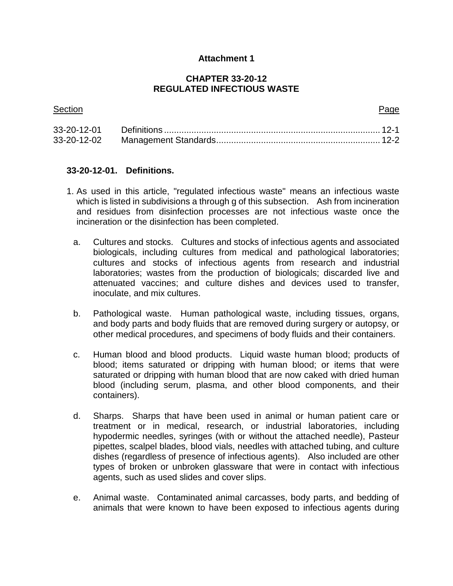## **Attachment 1**

#### **CHAPTER 33-20-12 REGULATED INFECTIOUS WASTE**

| <b>Section</b> | Page |
|----------------|------|
|                |      |
|                |      |

#### **33-20-12-01. Definitions.**

- 1. As used in this article, "regulated infectious waste" means an infectious waste which is listed in subdivisions a through g of this subsection. Ash from incineration and residues from disinfection processes are not infectious waste once the incineration or the disinfection has been completed.
	- a. Cultures and stocks. Cultures and stocks of infectious agents and associated biologicals, including cultures from medical and pathological laboratories; cultures and stocks of infectious agents from research and industrial laboratories; wastes from the production of biologicals; discarded live and attenuated vaccines; and culture dishes and devices used to transfer, inoculate, and mix cultures.
	- b. Pathological waste. Human pathological waste, including tissues, organs, and body parts and body fluids that are removed during surgery or autopsy, or other medical procedures, and specimens of body fluids and their containers.
	- c. Human blood and blood products. Liquid waste human blood; products of blood; items saturated or dripping with human blood; or items that were saturated or dripping with human blood that are now caked with dried human blood (including serum, plasma, and other blood components, and their containers).
	- d. Sharps. Sharps that have been used in animal or human patient care or treatment or in medical, research, or industrial laboratories, including hypodermic needles, syringes (with or without the attached needle), Pasteur pipettes, scalpel blades, blood vials, needles with attached tubing, and culture dishes (regardless of presence of infectious agents). Also included are other types of broken or unbroken glassware that were in contact with infectious agents, such as used slides and cover slips.
	- e. Animal waste. Contaminated animal carcasses, body parts, and bedding of animals that were known to have been exposed to infectious agents during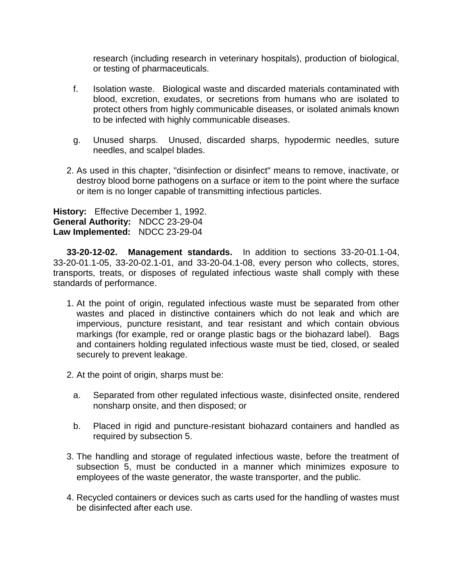research (including research in veterinary hospitals), production of biological, or testing of pharmaceuticals.

- f. Isolation waste. Biological waste and discarded materials contaminated with blood, excretion, exudates, or secretions from humans who are isolated to protect others from highly communicable diseases, or isolated animals known to be infected with highly communicable diseases.
- g. Unused sharps. Unused, discarded sharps, hypodermic needles, suture needles, and scalpel blades.
- 2. As used in this chapter, "disinfection or disinfect" means to remove, inactivate, or destroy blood borne pathogens on a surface or item to the point where the surface or item is no longer capable of transmitting infectious particles.

**History:** Effective December 1, 1992. **General Authority:** NDCC 23-29-04 **Law Implemented:** NDCC 23-29-04

**33-20-12-02. Management standards.** In addition to sections 33-20-01.1-04, 33-20-01.1-05, 33-20-02.1-01, and 33-20-04.1-08, every person who collects, stores, transports, treats, or disposes of regulated infectious waste shall comply with these standards of performance.

- 1. At the point of origin, regulated infectious waste must be separated from other wastes and placed in distinctive containers which do not leak and which are impervious, puncture resistant, and tear resistant and which contain obvious markings (for example, red or orange plastic bags or the biohazard label). Bags and containers holding regulated infectious waste must be tied, closed, or sealed securely to prevent leakage.
- 2. At the point of origin, sharps must be:
	- a. Separated from other regulated infectious waste, disinfected onsite, rendered nonsharp onsite, and then disposed; or
	- b. Placed in rigid and puncture-resistant biohazard containers and handled as required by subsection 5.
- 3. The handling and storage of regulated infectious waste, before the treatment of subsection 5, must be conducted in a manner which minimizes exposure to employees of the waste generator, the waste transporter, and the public.
- 4. Recycled containers or devices such as carts used for the handling of wastes must be disinfected after each use.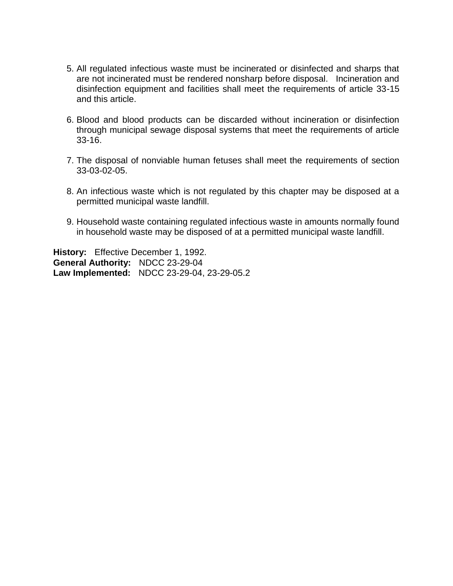- 5. All regulated infectious waste must be incinerated or disinfected and sharps that are not incinerated must be rendered nonsharp before disposal. Incineration and disinfection equipment and facilities shall meet the requirements of article 33-15 and this article.
- 6. Blood and blood products can be discarded without incineration or disinfection through municipal sewage disposal systems that meet the requirements of article 33-16.
- 7. The disposal of nonviable human fetuses shall meet the requirements of section 33-03-02-05.
- 8. An infectious waste which is not regulated by this chapter may be disposed at a permitted municipal waste landfill.
- 9. Household waste containing regulated infectious waste in amounts normally found in household waste may be disposed of at a permitted municipal waste landfill.

**History:** Effective December 1, 1992. **General Authority:** NDCC 23-29-04 **Law Implemented:** NDCC 23-29-04, 23-29-05.2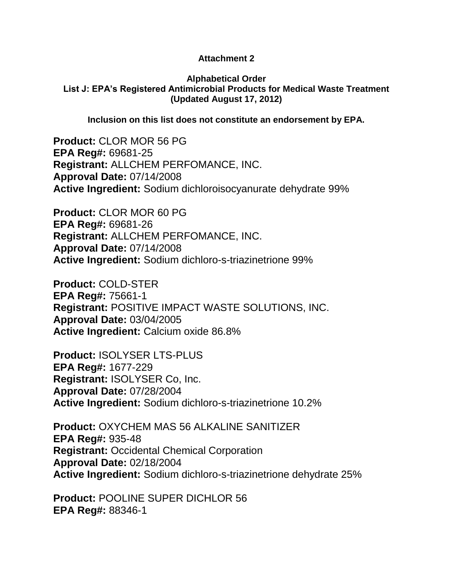## **Attachment 2**

#### **Alphabetical Order List J: EPA's Registered Antimicrobial Products for Medical Waste Treatment (Updated August 17, 2012)**

**Inclusion on this list does not constitute an endorsement by EPA.**

**Product:** CLOR MOR 56 PG **EPA Reg#:** 69681-25 **Registrant:** ALLCHEM PERFOMANCE, INC. **Approval Date:** 07/14/2008 **Active Ingredient:** Sodium dichloroisocyanurate dehydrate 99%

**Product:** CLOR MOR 60 PG **EPA Reg#:** 69681-26 **Registrant:** ALLCHEM PERFOMANCE, INC. **Approval Date:** 07/14/2008 **Active Ingredient:** Sodium dichloro-s-triazinetrione 99%

**Product:** COLD-STER **EPA Reg#:** 75661-1 **Registrant:** POSITIVE IMPACT WASTE SOLUTIONS, INC. **Approval Date:** 03/04/2005 **Active Ingredient:** Calcium oxide 86.8%

**Product:** ISOLYSER LTS-PLUS **EPA Reg#:** 1677-229 **Registrant:** ISOLYSER Co, Inc. **Approval Date:** 07/28/2004 **Active Ingredient:** Sodium dichloro-s-triazinetrione 10.2%

**Product:** OXYCHEM MAS 56 ALKALINE SANITIZER **EPA Reg#:** 935-48 **Registrant:** Occidental Chemical Corporation **Approval Date:** 02/18/2004 **Active Ingredient:** Sodium dichloro-s-triazinetrione dehydrate 25%

**Product:** POOLINE SUPER DICHLOR 56 **EPA Reg#:** 88346-1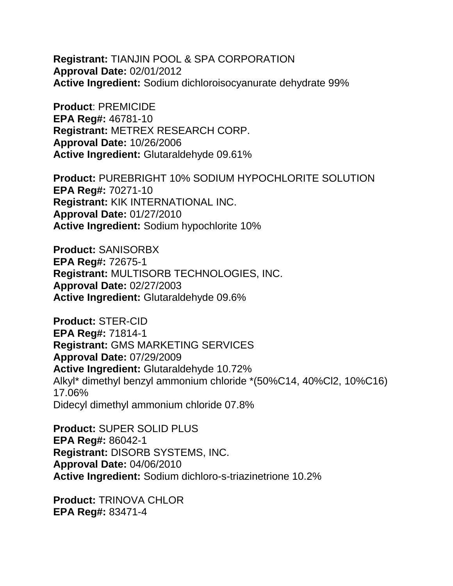**Registrant:** TIANJIN POOL & SPA CORPORATION **Approval Date:** 02/01/2012 **Active Ingredient:** Sodium dichloroisocyanurate dehydrate 99%

**Product**: PREMICIDE **EPA Reg#:** 46781-10 **Registrant:** METREX RESEARCH CORP. **Approval Date:** 10/26/2006 **Active Ingredient:** Glutaraldehyde 09.61%

**Product:** PUREBRIGHT 10% SODIUM HYPOCHLORITE SOLUTION **EPA Reg#:** 70271-10 **Registrant:** KIK INTERNATIONAL INC. **Approval Date:** 01/27/2010 **Active Ingredient:** Sodium hypochlorite 10%

**Product:** SANISORBX **EPA Reg#:** 72675-1 **Registrant:** MULTISORB TECHNOLOGIES, INC. **Approval Date:** 02/27/2003 **Active Ingredient:** Glutaraldehyde 09.6%

**Product:** STER-CID **EPA Reg#:** 71814-1 **Registrant:** GMS MARKETING SERVICES **Approval Date:** 07/29/2009 **Active Ingredient:** Glutaraldehyde 10.72% Alkyl\* dimethyl benzyl ammonium chloride \*(50%C14, 40%Cl2, 10%C16) 17.06% Didecyl dimethyl ammonium chloride 07.8%

**Product:** SUPER SOLID PLUS **EPA Reg#:** 86042-1 **Registrant:** DISORB SYSTEMS, INC. **Approval Date:** 04/06/2010 **Active Ingredient:** Sodium dichloro-s-triazinetrione 10.2%

**Product:** TRINOVA CHLOR **EPA Reg#:** 83471-4